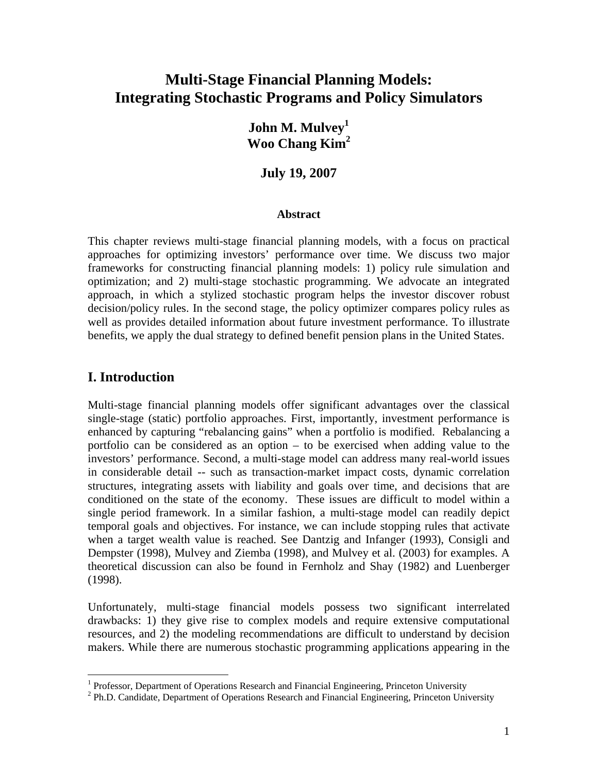# **Multi-Stage Financial Planning Models: Integrating Stochastic Programs and Policy Simulators**

## **John M. Mulvey<sup>1</sup> Woo Chang Kim2**

## **July 19, 2007**

### **Abstract**

This chapter reviews multi-stage financial planning models, with a focus on practical approaches for optimizing investors' performance over time. We discuss two major frameworks for constructing financial planning models: 1) policy rule simulation and optimization; and 2) multi-stage stochastic programming. We advocate an integrated approach, in which a stylized stochastic program helps the investor discover robust decision/policy rules. In the second stage, the policy optimizer compares policy rules as well as provides detailed information about future investment performance. To illustrate benefits, we apply the dual strategy to defined benefit pension plans in the United States.

## **I. Introduction**

Multi-stage financial planning models offer significant advantages over the classical single-stage (static) portfolio approaches. First, importantly, investment performance is enhanced by capturing "rebalancing gains" when a portfolio is modified. Rebalancing a portfolio can be considered as an option – to be exercised when adding value to the investors' performance. Second, a multi-stage model can address many real-world issues in considerable detail -- such as transaction-market impact costs, dynamic correlation structures, integrating assets with liability and goals over time, and decisions that are conditioned on the state of the economy. These issues are difficult to model within a single period framework. In a similar fashion, a multi-stage model can readily depict temporal goals and objectives. For instance, we can include stopping rules that activate when a target wealth value is reached. See Dantzig and Infanger (1993), Consigli and Dempster (1998), Mulvey and Ziemba (1998), and Mulvey et al. (2003) for examples. A theoretical discussion can also be found in Fernholz and Shay (1982) and Luenberger (1998).

Unfortunately, multi-stage financial models possess two significant interrelated drawbacks: 1) they give rise to complex models and require extensive computational resources, and 2) the modeling recommendations are difficult to understand by decision makers. While there are numerous stochastic programming applications appearing in the

<sup>&</sup>lt;sup>1</sup> Professor, Department of Operations Research and Financial Engineering, Princeton University

<sup>&</sup>lt;sup>2</sup> Ph.D. Candidate, Department of Operations Research and Financial Engineering, Princeton University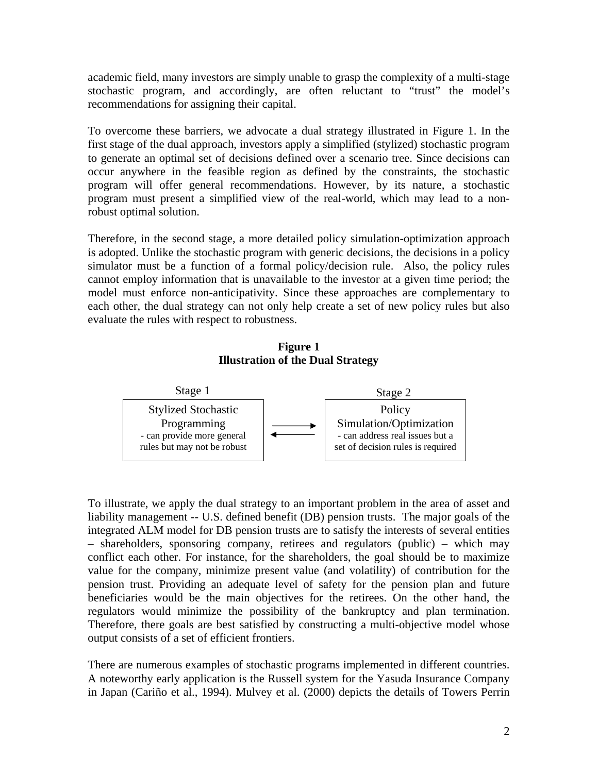academic field, many investors are simply unable to grasp the complexity of a multi-stage stochastic program, and accordingly, are often reluctant to "trust" the model's recommendations for assigning their capital.

To overcome these barriers, we advocate a dual strategy illustrated in Figure 1. In the first stage of the dual approach, investors apply a simplified (stylized) stochastic program to generate an optimal set of decisions defined over a scenario tree. Since decisions can occur anywhere in the feasible region as defined by the constraints, the stochastic program will offer general recommendations. However, by its nature, a stochastic program must present a simplified view of the real-world, which may lead to a nonrobust optimal solution.

Therefore, in the second stage, a more detailed policy simulation-optimization approach is adopted. Unlike the stochastic program with generic decisions, the decisions in a policy simulator must be a function of a formal policy/decision rule. Also, the policy rules cannot employ information that is unavailable to the investor at a given time period; the model must enforce non-anticipativity. Since these approaches are complementary to each other, the dual strategy can not only help create a set of new policy rules but also evaluate the rules with respect to robustness.

### **Figure 1 Illustration of the Dual Strategy**



To illustrate, we apply the dual strategy to an important problem in the area of asset and liability management -- U.S. defined benefit (DB) pension trusts. The major goals of the integrated ALM model for DB pension trusts are to satisfy the interests of several entities – shareholders, sponsoring company, retirees and regulators (public) – which may conflict each other. For instance, for the shareholders, the goal should be to maximize value for the company, minimize present value (and volatility) of contribution for the pension trust. Providing an adequate level of safety for the pension plan and future beneficiaries would be the main objectives for the retirees. On the other hand, the regulators would minimize the possibility of the bankruptcy and plan termination. Therefore, there goals are best satisfied by constructing a multi-objective model whose output consists of a set of efficient frontiers.

There are numerous examples of stochastic programs implemented in different countries. A noteworthy early application is the Russell system for the Yasuda Insurance Company in Japan (Cariño et al., 1994). Mulvey et al. (2000) depicts the details of Towers Perrin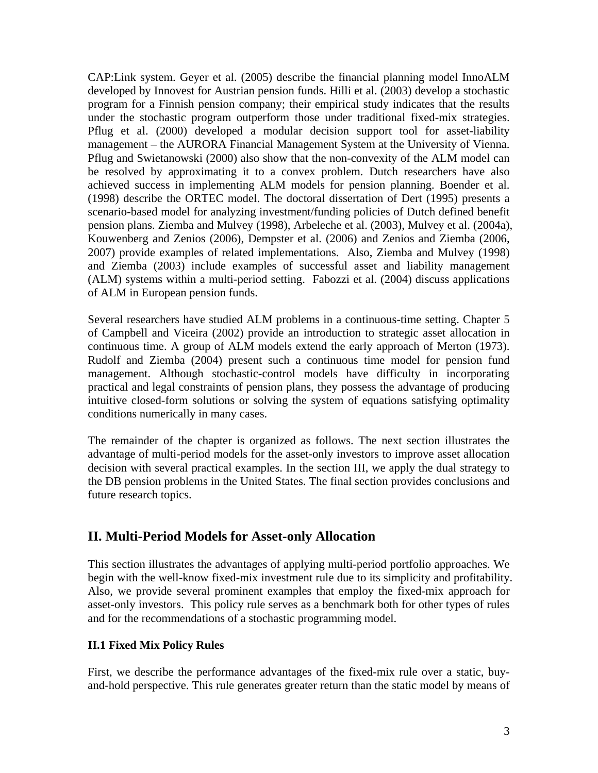CAP:Link system. Geyer et al. (2005) describe the financial planning model InnoALM developed by Innovest for Austrian pension funds. Hilli et al. (2003) develop a stochastic program for a Finnish pension company; their empirical study indicates that the results under the stochastic program outperform those under traditional fixed-mix strategies. Pflug et al. (2000) developed a modular decision support tool for asset-liability management – the AURORA Financial Management System at the University of Vienna. Pflug and Swietanowski (2000) also show that the non-convexity of the ALM model can be resolved by approximating it to a convex problem. Dutch researchers have also achieved success in implementing ALM models for pension planning. Boender et al. (1998) describe the ORTEC model. The doctoral dissertation of Dert (1995) presents a scenario-based model for analyzing investment/funding policies of Dutch defined benefit pension plans. Ziemba and Mulvey (1998), Arbeleche et al. (2003), Mulvey et al. (2004a), Kouwenberg and Zenios (2006), Dempster et al. (2006) and Zenios and Ziemba (2006, 2007) provide examples of related implementations. Also, Ziemba and Mulvey (1998) and Ziemba (2003) include examples of successful asset and liability management (ALM) systems within a multi-period setting. Fabozzi et al. (2004) discuss applications of ALM in European pension funds.

Several researchers have studied ALM problems in a continuous-time setting. Chapter 5 of Campbell and Viceira (2002) provide an introduction to strategic asset allocation in continuous time. A group of ALM models extend the early approach of Merton (1973). Rudolf and Ziemba (2004) present such a continuous time model for pension fund management. Although stochastic-control models have difficulty in incorporating practical and legal constraints of pension plans, they possess the advantage of producing intuitive closed-form solutions or solving the system of equations satisfying optimality conditions numerically in many cases.

The remainder of the chapter is organized as follows. The next section illustrates the advantage of multi-period models for the asset-only investors to improve asset allocation decision with several practical examples. In the section III, we apply the dual strategy to the DB pension problems in the United States. The final section provides conclusions and future research topics.

## **II. Multi-Period Models for Asset-only Allocation**

This section illustrates the advantages of applying multi-period portfolio approaches. We begin with the well-know fixed-mix investment rule due to its simplicity and profitability. Also, we provide several prominent examples that employ the fixed-mix approach for asset-only investors. This policy rule serves as a benchmark both for other types of rules and for the recommendations of a stochastic programming model.

### **II.1 Fixed Mix Policy Rules**

First, we describe the performance advantages of the fixed-mix rule over a static, buyand-hold perspective. This rule generates greater return than the static model by means of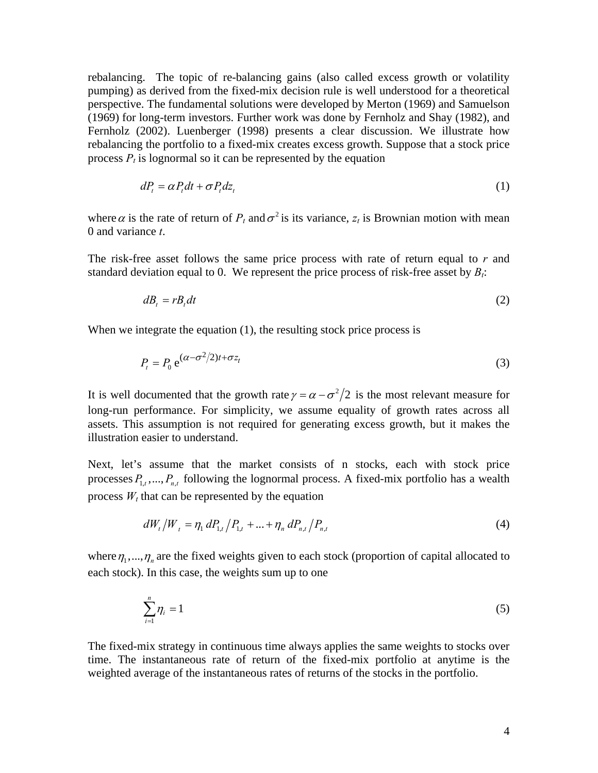rebalancing. The topic of re-balancing gains (also called excess growth or volatility pumping) as derived from the fixed-mix decision rule is well understood for a theoretical perspective. The fundamental solutions were developed by Merton (1969) and Samuelson (1969) for long-term investors. Further work was done by Fernholz and Shay (1982), and Fernholz (2002). Luenberger (1998) presents a clear discussion. We illustrate how rebalancing the portfolio to a fixed-mix creates excess growth. Suppose that a stock price process  $P_t$  is lognormal so it can be represented by the equation

$$
dP_t = \alpha P_t dt + \sigma P_t dz_t \tag{1}
$$

where  $\alpha$  is the rate of return of  $P_t$  and  $\sigma^2$  is its variance,  $z_t$  is Brownian motion with mean 0 and variance *t*.

The risk-free asset follows the same price process with rate of return equal to *r* and standard deviation equal to 0. We represent the price process of risk-free asset by  $B_t$ :

$$
dB_t = rB_t dt \tag{2}
$$

When we integrate the equation (1), the resulting stock price process is

$$
P_t = P_0 e^{(\alpha - \sigma^2/2)t + \sigma z_t}
$$
 (3)

It is well documented that the growth rate  $\gamma = \alpha - \sigma^2/2$  is the most relevant measure for long-run performance. For simplicity, we assume equality of growth rates across all assets. This assumption is not required for generating excess growth, but it makes the illustration easier to understand.

Next, let's assume that the market consists of n stocks, each with stock price processes  $P_1$ , ,...,  $P_n$ , following the lognormal process. A fixed-mix portfolio has a wealth process  $W_t$  that can be represented by the equation

$$
dW_t/W_t = \eta_1 dP_{1,t}/P_{1,t} + ... + \eta_n dP_{n,t}/P_{n,t}
$$
\n(4)

where  $\eta_1, ..., \eta_n$  are the fixed weights given to each stock (proportion of capital allocated to each stock). In this case, the weights sum up to one

$$
\sum_{i=1}^{n} \eta_i = 1 \tag{5}
$$

The fixed-mix strategy in continuous time always applies the same weights to stocks over time. The instantaneous rate of return of the fixed-mix portfolio at anytime is the weighted average of the instantaneous rates of returns of the stocks in the portfolio.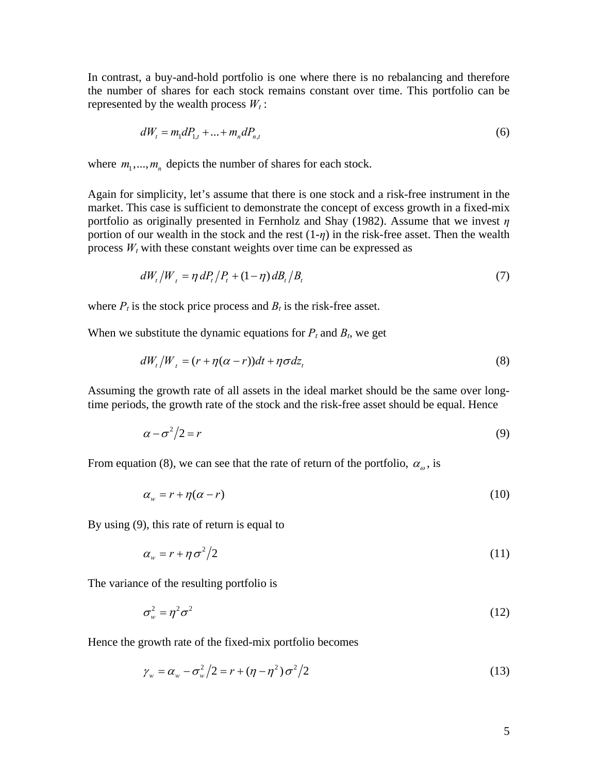In contrast, a buy-and-hold portfolio is one where there is no rebalancing and therefore the number of shares for each stock remains constant over time. This portfolio can be represented by the wealth process  $W_t$ :

$$
dW_t = m_1 dP_{1,t} + \dots + m_n dP_{n,t} \tag{6}
$$

where  $m_1$ ,...,  $m_n$  depicts the number of shares for each stock.

Again for simplicity, let's assume that there is one stock and a risk-free instrument in the market. This case is sufficient to demonstrate the concept of excess growth in a fixed-mix portfolio as originally presented in Fernholz and Shay (1982). Assume that we invest *η* portion of our wealth in the stock and the rest  $(1-\eta)$  in the risk-free asset. Then the wealth process  $W_t$  with these constant weights over time can be expressed as

$$
dW_t / W_t = \eta \, dP_t / P_t + (1 - \eta) \, dB_t / B_t \tag{7}
$$

where  $P_t$  is the stock price process and  $B_t$  is the risk-free asset.

When we substitute the dynamic equations for  $P_t$  and  $B_t$ , we get

$$
dW_t/W_t = (r + \eta(\alpha - r))dt + \eta \sigma dz_t
$$
\n(8)

Assuming the growth rate of all assets in the ideal market should be the same over longtime periods, the growth rate of the stock and the risk-free asset should be equal. Hence

$$
\alpha - \sigma^2/2 = r \tag{9}
$$

From equation (8), we can see that the rate of return of the portfolio,  $\alpha_{\omega}$ , is

$$
\alpha_w = r + \eta(\alpha - r) \tag{10}
$$

By using (9), this rate of return is equal to

$$
\alpha_{w} = r + \eta \sigma^{2}/2 \tag{11}
$$

The variance of the resulting portfolio is

$$
\sigma_w^2 = \eta^2 \sigma^2 \tag{12}
$$

Hence the growth rate of the fixed-mix portfolio becomes

$$
\gamma_w = \alpha_w - \sigma_w^2/2 = r + (\eta - \eta^2) \sigma^2/2 \tag{13}
$$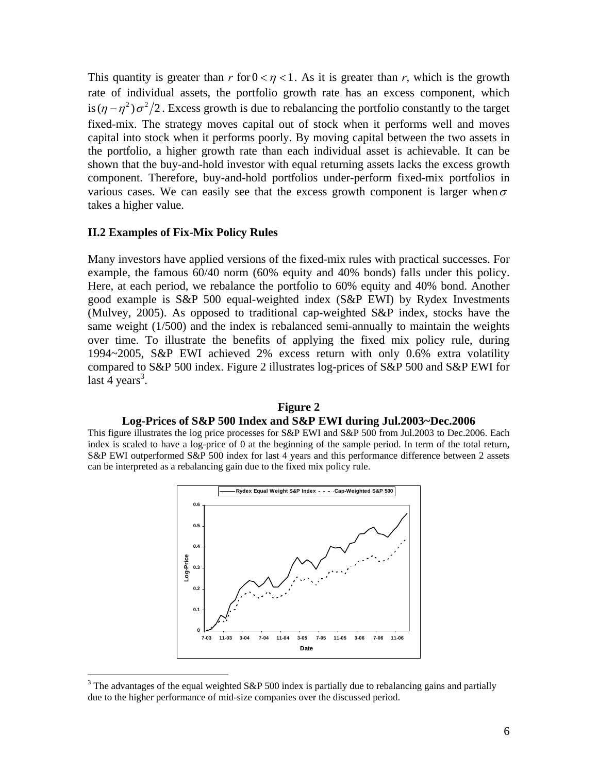This quantity is greater than *r* for  $0 < \eta < 1$ . As it is greater than *r*, which is the growth rate of individual assets, the portfolio growth rate has an excess component, which is  $(n - n^2) \sigma^2/2$ . Excess growth is due to rebalancing the portfolio constantly to the target fixed-mix. The strategy moves capital out of stock when it performs well and moves capital into stock when it performs poorly. By moving capital between the two assets in the portfolio, a higher growth rate than each individual asset is achievable. It can be shown that the buy-and-hold investor with equal returning assets lacks the excess growth component. Therefore, buy-and-hold portfolios under-perform fixed-mix portfolios in various cases. We can easily see that the excess growth component is larger when  $\sigma$ takes a higher value.

#### **II.2 Examples of Fix-Mix Policy Rules**

 $\overline{a}$ 

Many investors have applied versions of the fixed-mix rules with practical successes. For example, the famous 60/40 norm (60% equity and 40% bonds) falls under this policy. Here, at each period, we rebalance the portfolio to 60% equity and 40% bond. Another good example is S&P 500 equal-weighted index (S&P EWI) by Rydex Investments (Mulvey, 2005). As opposed to traditional cap-weighted S&P index, stocks have the same weight (1/500) and the index is rebalanced semi-annually to maintain the weights over time. To illustrate the benefits of applying the fixed mix policy rule, during 1994~2005, S&P EWI achieved 2% excess return with only 0.6% extra volatility compared to S&P 500 index. Figure 2 illustrates log-prices of S&P 500 and S&P EWI for last  $\overline{4}$  years<sup>3</sup>.

#### **Figure 2 Log-Prices of S&P 500 Index and S&P EWI during Jul.2003~Dec.2006**

This figure illustrates the log price processes for S&P EWI and S&P 500 from Jul.2003 to Dec.2006. Each index is scaled to have a log-price of 0 at the beginning of the sample period. In term of the total return, S&P EWI outperformed S&P 500 index for last 4 years and this performance difference between 2 assets can be interpreted as a rebalancing gain due to the fixed mix policy rule.



<sup>&</sup>lt;sup>3</sup> The advantages of the equal weighted S&P 500 index is partially due to rebalancing gains and partially due to the higher performance of mid-size companies over the discussed period.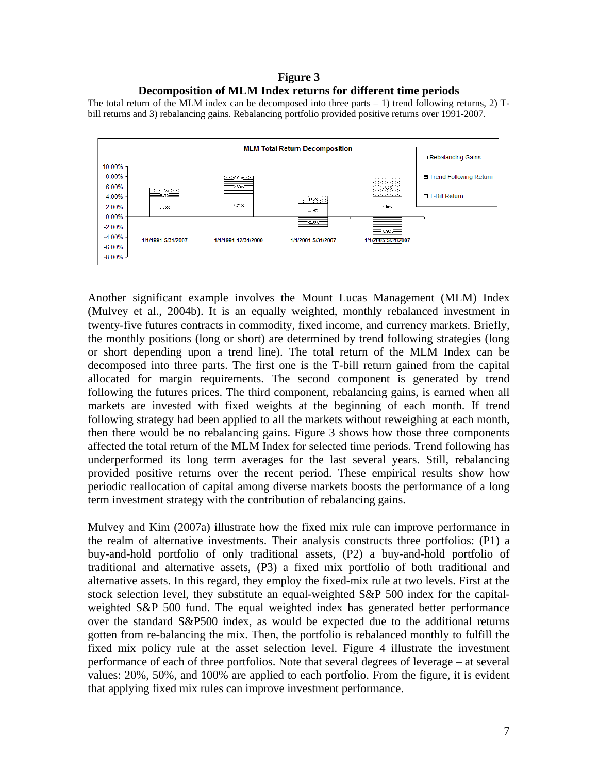### **Figure 3 Decomposition of MLM Index returns for different time periods**

The total return of the MLM index can be decomposed into three parts  $-1$ ) trend following returns, 2) Tbill returns and 3) rebalancing gains. Rebalancing portfolio provided positive returns over 1991-2007.



Another significant example involves the Mount Lucas Management (MLM) Index (Mulvey et al., 2004b). It is an equally weighted, monthly rebalanced investment in twenty-five futures contracts in commodity, fixed income, and currency markets. Briefly, the monthly positions (long or short) are determined by trend following strategies (long or short depending upon a trend line). The total return of the MLM Index can be decomposed into three parts. The first one is the T-bill return gained from the capital allocated for margin requirements. The second component is generated by trend following the futures prices. The third component, rebalancing gains, is earned when all markets are invested with fixed weights at the beginning of each month. If trend following strategy had been applied to all the markets without reweighing at each month, then there would be no rebalancing gains. Figure 3 shows how those three components affected the total return of the MLM Index for selected time periods. Trend following has underperformed its long term averages for the last several years. Still, rebalancing provided positive returns over the recent period. These empirical results show how periodic reallocation of capital among diverse markets boosts the performance of a long term investment strategy with the contribution of rebalancing gains.

Mulvey and Kim (2007a) illustrate how the fixed mix rule can improve performance in the realm of alternative investments. Their analysis constructs three portfolios: (P1) a buy-and-hold portfolio of only traditional assets, (P2) a buy-and-hold portfolio of traditional and alternative assets, (P3) a fixed mix portfolio of both traditional and alternative assets. In this regard, they employ the fixed-mix rule at two levels. First at the stock selection level, they substitute an equal-weighted S&P 500 index for the capitalweighted S&P 500 fund. The equal weighted index has generated better performance over the standard S&P500 index, as would be expected due to the additional returns gotten from re-balancing the mix. Then, the portfolio is rebalanced monthly to fulfill the fixed mix policy rule at the asset selection level. Figure 4 illustrate the investment performance of each of three portfolios. Note that several degrees of leverage – at several values: 20%, 50%, and 100% are applied to each portfolio. From the figure, it is evident that applying fixed mix rules can improve investment performance.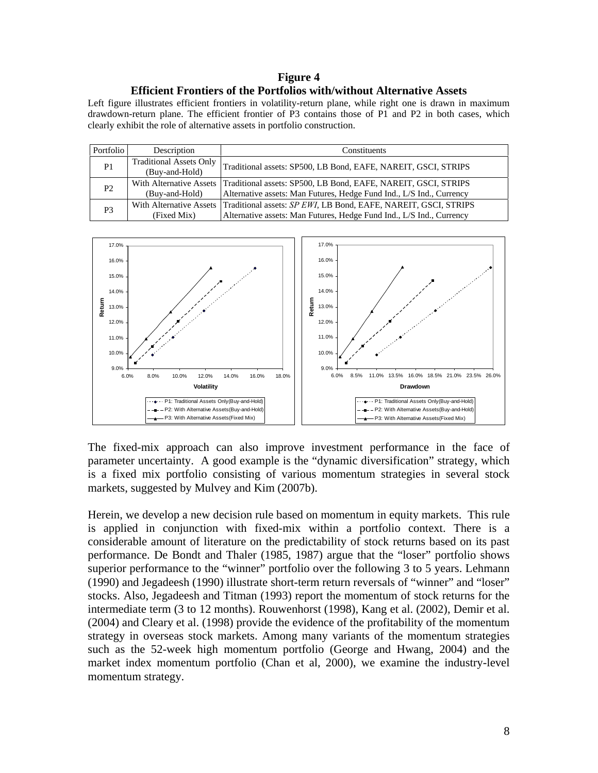#### **Figure 4 Efficient Frontiers of the Portfolios with/without Alternative Assets**

Left figure illustrates efficient frontiers in volatility-return plane, while right one is drawn in maximum drawdown-return plane. The efficient frontier of P3 contains those of P1 and P2 in both cases, which clearly exhibit the role of alternative assets in portfolio construction.

| Portfolio      | Description                                      | Constituents                                                                                                                                                    |
|----------------|--------------------------------------------------|-----------------------------------------------------------------------------------------------------------------------------------------------------------------|
| P <sub>1</sub> | <b>Traditional Assets Only</b><br>(Buy-and-Hold) | Traditional assets: SP500, LB Bond, EAFE, NAREIT, GSCI, STRIPS                                                                                                  |
| P <sub>2</sub> | (Buy-and-Hold)                                   | With Alternative Assets Traditional assets: SP500, LB Bond, EAFE, NAREIT, GSCI, STRIPS<br>Alternative assets: Man Futures, Hedge Fund Ind., L/S Ind., Currency  |
| P <sub>3</sub> | (Fixed Mix)                                      | With Alternative Assets Traditional assets: SP EWI, LB Bond, EAFE, NAREIT, GSCI, STRIPS<br>Alternative assets: Man Futures, Hedge Fund Ind., L/S Ind., Currency |



The fixed-mix approach can also improve investment performance in the face of parameter uncertainty. A good example is the "dynamic diversification" strategy, which is a fixed mix portfolio consisting of various momentum strategies in several stock markets, suggested by Mulvey and Kim (2007b).

Herein, we develop a new decision rule based on momentum in equity markets. This rule is applied in conjunction with fixed-mix within a portfolio context. There is a considerable amount of literature on the predictability of stock returns based on its past performance. De Bondt and Thaler (1985, 1987) argue that the "loser" portfolio shows superior performance to the "winner" portfolio over the following 3 to 5 years. Lehmann (1990) and Jegadeesh (1990) illustrate short-term return reversals of "winner" and "loser" stocks. Also, Jegadeesh and Titman (1993) report the momentum of stock returns for the intermediate term (3 to 12 months). Rouwenhorst (1998), Kang et al. (2002), Demir et al. (2004) and Cleary et al. (1998) provide the evidence of the profitability of the momentum strategy in overseas stock markets. Among many variants of the momentum strategies such as the 52-week high momentum portfolio (George and Hwang, 2004) and the market index momentum portfolio (Chan et al, 2000), we examine the industry-level momentum strategy.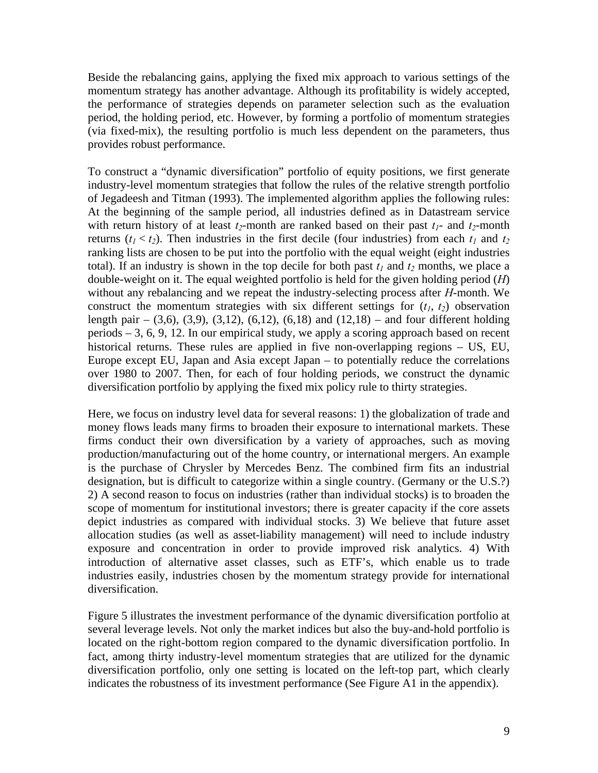Beside the rebalancing gains, applying the fixed mix approach to various settings of the momentum strategy has another advantage. Although its profitability is widely accepted, the performance of strategies depends on parameter selection such as the evaluation period, the holding period, etc. However, by forming a portfolio of momentum strategies (via fixed-mix), the resulting portfolio is much less dependent on the parameters, thus provides robust performance.

To construct a "dynamic diversification" portfolio of equity positions, we first generate industry-level momentum strategies that follow the rules of the relative strength portfolio of Jegadeesh and Titman (1993). The implemented algorithm applies the following rules: At the beginning of the sample period, all industries defined as in Datastream service with return history of at least  $t_2$ -month are ranked based on their past  $t_1$ - and  $t_2$ -month returns  $(t_1 < t_2)$ . Then industries in the first decile (four industries) from each  $t_1$  and  $t_2$ ranking lists are chosen to be put into the portfolio with the equal weight (eight industries total). If an industry is shown in the top decile for both past  $t_1$  and  $t_2$  months, we place a double-weight on it. The equal weighted portfolio is held for the given holding period (*H*) without any rebalancing and we repeat the industry-selecting process after *H*-month. We construct the momentum strategies with six different settings for  $(t_1, t_2)$  observation length pair –  $(3,6)$ ,  $(3,9)$ ,  $(3,12)$ ,  $(6,12)$ ,  $(6,18)$  and  $(12,18)$  – and four different holding periods – 3, 6, 9, 12. In our empirical study, we apply a scoring approach based on recent historical returns. These rules are applied in five non-overlapping regions – US, EU, Europe except EU, Japan and Asia except Japan – to potentially reduce the correlations over 1980 to 2007. Then, for each of four holding periods, we construct the dynamic diversification portfolio by applying the fixed mix policy rule to thirty strategies.

Here, we focus on industry level data for several reasons: 1) the globalization of trade and money flows leads many firms to broaden their exposure to international markets. These firms conduct their own diversification by a variety of approaches, such as moving production/manufacturing out of the home country, or international mergers. An example is the purchase of Chrysler by Mercedes Benz. The combined firm fits an industrial designation, but is difficult to categorize within a single country. (Germany or the U.S.?) 2) A second reason to focus on industries (rather than individual stocks) is to broaden the scope of momentum for institutional investors; there is greater capacity if the core assets depict industries as compared with individual stocks. 3) We believe that future asset allocation studies (as well as asset-liability management) will need to include industry exposure and concentration in order to provide improved risk analytics. 4) With introduction of alternative asset classes, such as ETF's, which enable us to trade industries easily, industries chosen by the momentum strategy provide for international diversification.

Figure 5 illustrates the investment performance of the dynamic diversification portfolio at several leverage levels. Not only the market indices but also the buy-and-hold portfolio is located on the right-bottom region compared to the dynamic diversification portfolio. In fact, among thirty industry-level momentum strategies that are utilized for the dynamic diversification portfolio, only one setting is located on the left-top part, which clearly indicates the robustness of its investment performance (See Figure A1 in the appendix).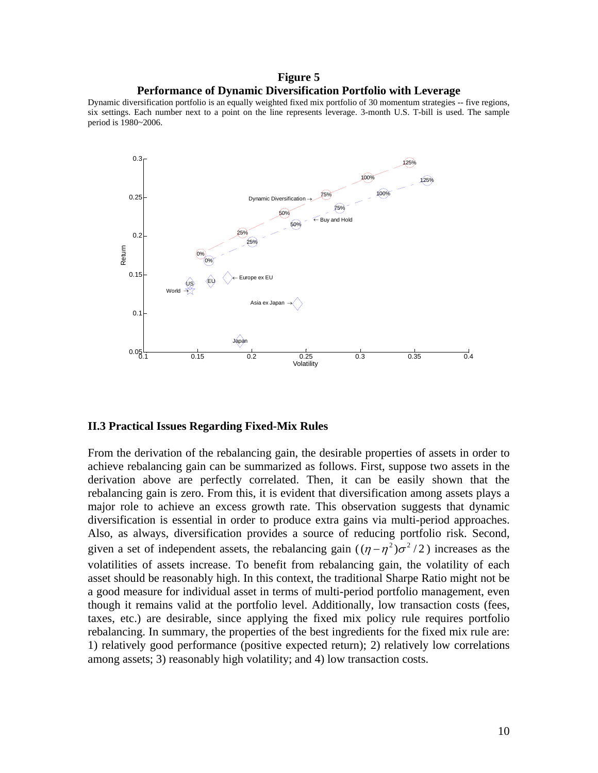#### **Figure 5 Performance of Dynamic Diversification Portfolio with Leverage**

Dynamic diversification portfolio is an equally weighted fixed mix portfolio of 30 momentum strategies -- five regions, six settings. Each number next to a point on the line represents leverage. 3-month U.S. T-bill is used. The sample period is 1980~2006.



#### **II.3 Practical Issues Regarding Fixed-Mix Rules**

From the derivation of the rebalancing gain, the desirable properties of assets in order to achieve rebalancing gain can be summarized as follows. First, suppose two assets in the derivation above are perfectly correlated. Then, it can be easily shown that the rebalancing gain is zero. From this, it is evident that diversification among assets plays a major role to achieve an excess growth rate. This observation suggests that dynamic diversification is essential in order to produce extra gains via multi-period approaches. Also, as always, diversification provides a source of reducing portfolio risk. Second, given a set of independent assets, the rebalancing gain  $((\eta - \eta^2) \sigma^2 / 2)$  increases as the volatilities of assets increase. To benefit from rebalancing gain, the volatility of each asset should be reasonably high. In this context, the traditional Sharpe Ratio might not be a good measure for individual asset in terms of multi-period portfolio management, even though it remains valid at the portfolio level. Additionally, low transaction costs (fees, taxes, etc.) are desirable, since applying the fixed mix policy rule requires portfolio rebalancing. In summary, the properties of the best ingredients for the fixed mix rule are: 1) relatively good performance (positive expected return); 2) relatively low correlations among assets; 3) reasonably high volatility; and 4) low transaction costs.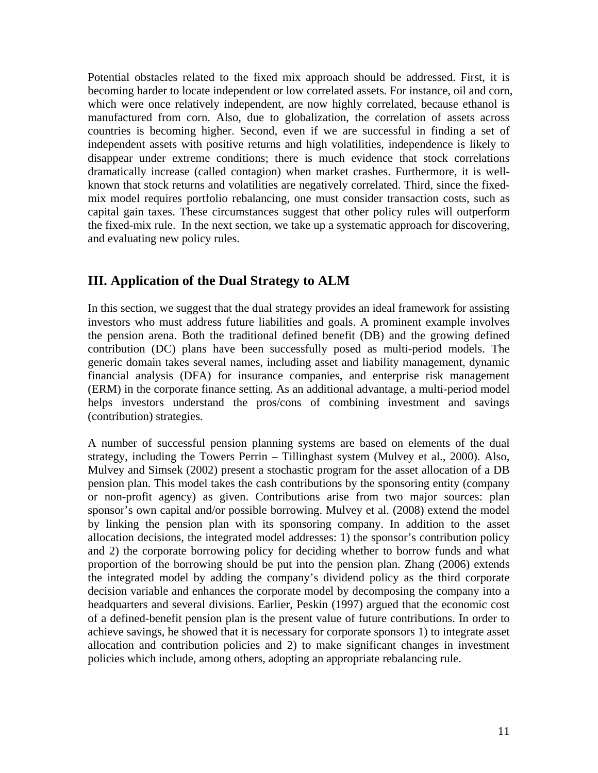Potential obstacles related to the fixed mix approach should be addressed. First, it is becoming harder to locate independent or low correlated assets. For instance, oil and corn, which were once relatively independent, are now highly correlated, because ethanol is manufactured from corn. Also, due to globalization, the correlation of assets across countries is becoming higher. Second, even if we are successful in finding a set of independent assets with positive returns and high volatilities, independence is likely to disappear under extreme conditions; there is much evidence that stock correlations dramatically increase (called contagion) when market crashes. Furthermore, it is wellknown that stock returns and volatilities are negatively correlated. Third, since the fixedmix model requires portfolio rebalancing, one must consider transaction costs, such as capital gain taxes. These circumstances suggest that other policy rules will outperform the fixed-mix rule. In the next section, we take up a systematic approach for discovering, and evaluating new policy rules.

## **III. Application of the Dual Strategy to ALM**

In this section, we suggest that the dual strategy provides an ideal framework for assisting investors who must address future liabilities and goals. A prominent example involves the pension arena. Both the traditional defined benefit (DB) and the growing defined contribution (DC) plans have been successfully posed as multi-period models. The generic domain takes several names, including asset and liability management, dynamic financial analysis (DFA) for insurance companies, and enterprise risk management (ERM) in the corporate finance setting. As an additional advantage, a multi-period model helps investors understand the pros/cons of combining investment and savings (contribution) strategies.

A number of successful pension planning systems are based on elements of the dual strategy, including the Towers Perrin – Tillinghast system (Mulvey et al., 2000). Also, Mulvey and Simsek (2002) present a stochastic program for the asset allocation of a DB pension plan. This model takes the cash contributions by the sponsoring entity (company or non-profit agency) as given. Contributions arise from two major sources: plan sponsor's own capital and/or possible borrowing. Mulvey et al. (2008) extend the model by linking the pension plan with its sponsoring company. In addition to the asset allocation decisions, the integrated model addresses: 1) the sponsor's contribution policy and 2) the corporate borrowing policy for deciding whether to borrow funds and what proportion of the borrowing should be put into the pension plan. Zhang (2006) extends the integrated model by adding the company's dividend policy as the third corporate decision variable and enhances the corporate model by decomposing the company into a headquarters and several divisions. Earlier, Peskin (1997) argued that the economic cost of a defined-benefit pension plan is the present value of future contributions. In order to achieve savings, he showed that it is necessary for corporate sponsors 1) to integrate asset allocation and contribution policies and 2) to make significant changes in investment policies which include, among others, adopting an appropriate rebalancing rule.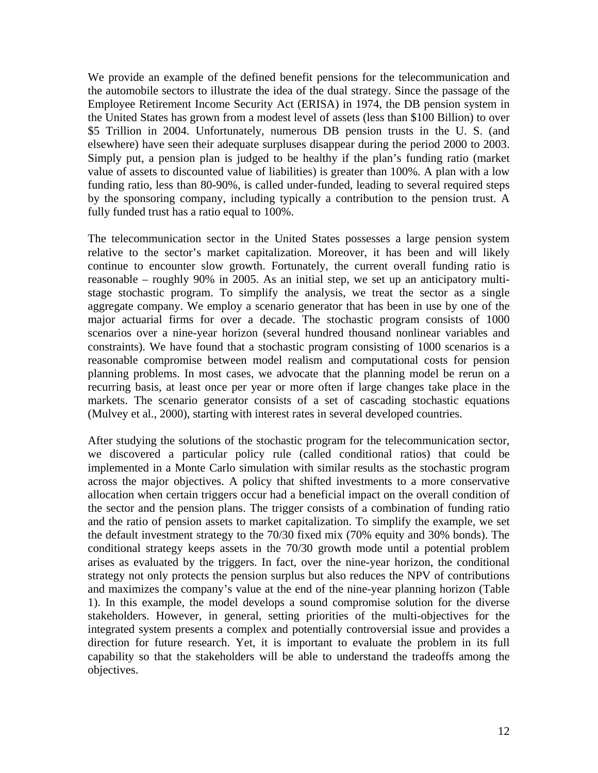We provide an example of the defined benefit pensions for the telecommunication and the automobile sectors to illustrate the idea of the dual strategy. Since the passage of the Employee Retirement Income Security Act (ERISA) in 1974, the DB pension system in the United States has grown from a modest level of assets (less than \$100 Billion) to over \$5 Trillion in 2004. Unfortunately, numerous DB pension trusts in the U. S. (and elsewhere) have seen their adequate surpluses disappear during the period 2000 to 2003. Simply put, a pension plan is judged to be healthy if the plan's funding ratio (market value of assets to discounted value of liabilities) is greater than 100%. A plan with a low funding ratio, less than 80-90%, is called under-funded, leading to several required steps by the sponsoring company, including typically a contribution to the pension trust. A fully funded trust has a ratio equal to 100%.

The telecommunication sector in the United States possesses a large pension system relative to the sector's market capitalization. Moreover, it has been and will likely continue to encounter slow growth. Fortunately, the current overall funding ratio is reasonable – roughly 90% in 2005. As an initial step, we set up an anticipatory multistage stochastic program. To simplify the analysis, we treat the sector as a single aggregate company. We employ a scenario generator that has been in use by one of the major actuarial firms for over a decade. The stochastic program consists of 1000 scenarios over a nine-year horizon (several hundred thousand nonlinear variables and constraints). We have found that a stochastic program consisting of 1000 scenarios is a reasonable compromise between model realism and computational costs for pension planning problems. In most cases, we advocate that the planning model be rerun on a recurring basis, at least once per year or more often if large changes take place in the markets. The scenario generator consists of a set of cascading stochastic equations (Mulvey et al., 2000), starting with interest rates in several developed countries.

After studying the solutions of the stochastic program for the telecommunication sector, we discovered a particular policy rule (called conditional ratios) that could be implemented in a Monte Carlo simulation with similar results as the stochastic program across the major objectives. A policy that shifted investments to a more conservative allocation when certain triggers occur had a beneficial impact on the overall condition of the sector and the pension plans. The trigger consists of a combination of funding ratio and the ratio of pension assets to market capitalization. To simplify the example, we set the default investment strategy to the 70/30 fixed mix (70% equity and 30% bonds). The conditional strategy keeps assets in the 70/30 growth mode until a potential problem arises as evaluated by the triggers. In fact, over the nine-year horizon, the conditional strategy not only protects the pension surplus but also reduces the NPV of contributions and maximizes the company's value at the end of the nine-year planning horizon (Table 1). In this example, the model develops a sound compromise solution for the diverse stakeholders. However, in general, setting priorities of the multi-objectives for the integrated system presents a complex and potentially controversial issue and provides a direction for future research. Yet, it is important to evaluate the problem in its full capability so that the stakeholders will be able to understand the tradeoffs among the objectives.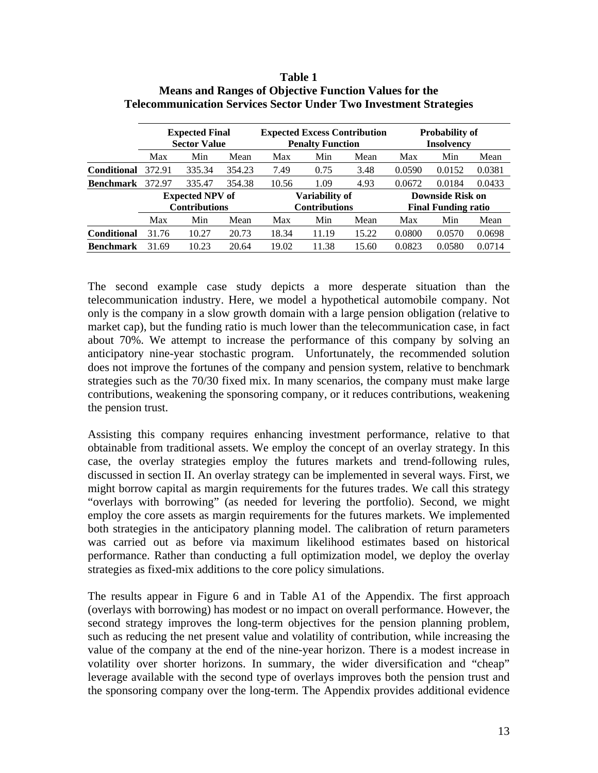|                    | <b>Expected Final</b><br><b>Sector Value</b> |        |        | <b>Penalty Function</b> | <b>Expected Excess Contribution</b> | <b>Probability of</b><br><b>Insolvency</b> |                            |        |        |
|--------------------|----------------------------------------------|--------|--------|-------------------------|-------------------------------------|--------------------------------------------|----------------------------|--------|--------|
|                    | Max                                          | Min    | Mean   | Max                     | Min                                 | Mean                                       | Max                        | Min    | Mean   |
| <b>Conditional</b> | 372.91                                       | 335.34 | 354.23 | 7.49                    | 0.75                                | 3.48                                       | 0.0590                     | 0.0152 | 0.0381 |
| <b>Benchmark</b>   | 372.97                                       | 335.47 | 354.38 | 10.56                   | 1.09                                | 4.93                                       | 0.0672                     | 0.0184 | 0.0433 |
|                    | <b>Expected NPV of</b>                       |        |        |                         | Variability of                      |                                            | Downside Risk on           |        |        |
|                    | <b>Contributions</b>                         |        |        |                         | <b>Contributions</b>                |                                            | <b>Final Funding ratio</b> |        |        |
|                    | Max                                          | Min    | Mean   | Max                     | Min                                 | Mean                                       | Max                        | Min    | Mean   |
| <b>Conditional</b> | 31.76                                        | 10.27  | 20.73  | 18.34                   | 11.19                               | 15.22                                      | 0.0800                     | 0.0570 | 0.0698 |
| <b>Benchmark</b>   | 31.69                                        | 10.23  | 20.64  | 19.02                   | 11.38                               | 15.60                                      | 0.0823                     | 0.0580 | 0.0714 |

#### **Table 1 Means and Ranges of Objective Function Values for the Telecommunication Services Sector Under Two Investment Strategies**

The second example case study depicts a more desperate situation than the telecommunication industry. Here, we model a hypothetical automobile company. Not only is the company in a slow growth domain with a large pension obligation (relative to market cap), but the funding ratio is much lower than the telecommunication case, in fact about 70%. We attempt to increase the performance of this company by solving an anticipatory nine-year stochastic program. Unfortunately, the recommended solution does not improve the fortunes of the company and pension system, relative to benchmark strategies such as the 70/30 fixed mix. In many scenarios, the company must make large contributions, weakening the sponsoring company, or it reduces contributions, weakening the pension trust.

Assisting this company requires enhancing investment performance, relative to that obtainable from traditional assets. We employ the concept of an overlay strategy. In this case, the overlay strategies employ the futures markets and trend-following rules, discussed in section II. An overlay strategy can be implemented in several ways. First, we might borrow capital as margin requirements for the futures trades. We call this strategy "overlays with borrowing" (as needed for levering the portfolio). Second, we might employ the core assets as margin requirements for the futures markets. We implemented both strategies in the anticipatory planning model. The calibration of return parameters was carried out as before via maximum likelihood estimates based on historical performance. Rather than conducting a full optimization model, we deploy the overlay strategies as fixed-mix additions to the core policy simulations.

The results appear in Figure 6 and in Table A1 of the Appendix. The first approach (overlays with borrowing) has modest or no impact on overall performance. However, the second strategy improves the long-term objectives for the pension planning problem, such as reducing the net present value and volatility of contribution, while increasing the value of the company at the end of the nine-year horizon. There is a modest increase in volatility over shorter horizons. In summary, the wider diversification and "cheap" leverage available with the second type of overlays improves both the pension trust and the sponsoring company over the long-term. The Appendix provides additional evidence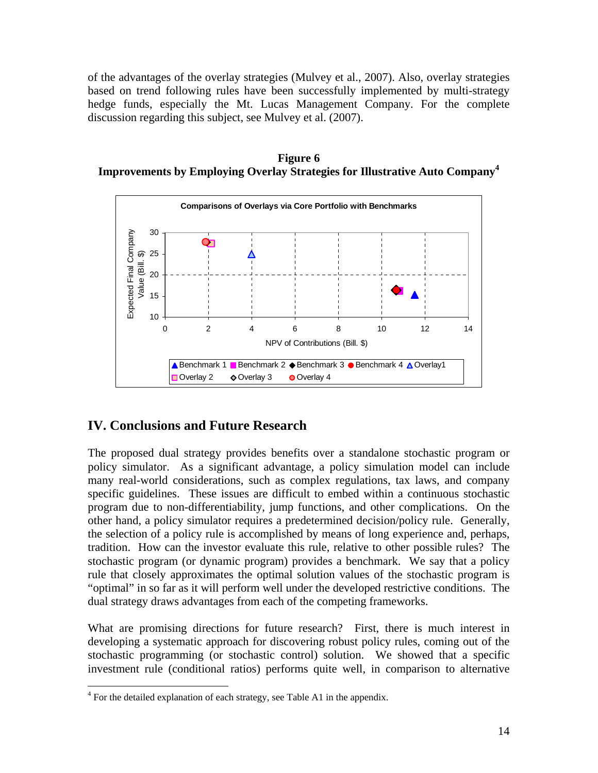of the advantages of the overlay strategies (Mulvey et al., 2007). Also, overlay strategies based on trend following rules have been successfully implemented by multi-strategy hedge funds, especially the Mt. Lucas Management Company. For the complete discussion regarding this subject, see Mulvey et al. (2007).

**Figure 6 Improvements by Employing Overlay Strategies for Illustrative Auto Company<sup>4</sup>**



## **IV. Conclusions and Future Research**

The proposed dual strategy provides benefits over a standalone stochastic program or policy simulator. As a significant advantage, a policy simulation model can include many real-world considerations, such as complex regulations, tax laws, and company specific guidelines. These issues are difficult to embed within a continuous stochastic program due to non-differentiability, jump functions, and other complications. On the other hand, a policy simulator requires a predetermined decision/policy rule. Generally, the selection of a policy rule is accomplished by means of long experience and, perhaps, tradition. How can the investor evaluate this rule, relative to other possible rules? The stochastic program (or dynamic program) provides a benchmark. We say that a policy rule that closely approximates the optimal solution values of the stochastic program is "optimal" in so far as it will perform well under the developed restrictive conditions. The dual strategy draws advantages from each of the competing frameworks.

What are promising directions for future research? First, there is much interest in developing a systematic approach for discovering robust policy rules, coming out of the stochastic programming (or stochastic control) solution. We showed that a specific investment rule (conditional ratios) performs quite well, in comparison to alternative

 $\overline{a}$ 

 $4$  For the detailed explanation of each strategy, see Table A1 in the appendix.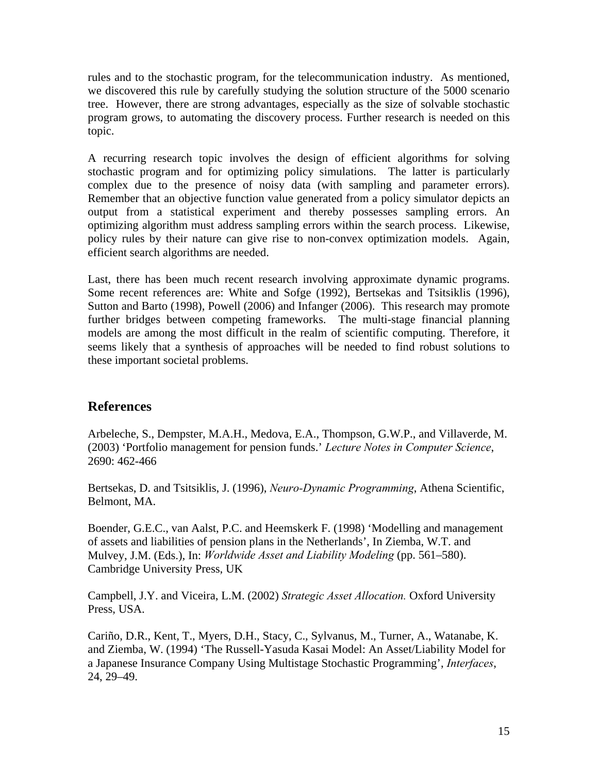rules and to the stochastic program, for the telecommunication industry. As mentioned, we discovered this rule by carefully studying the solution structure of the 5000 scenario tree. However, there are strong advantages, especially as the size of solvable stochastic program grows, to automating the discovery process. Further research is needed on this topic.

A recurring research topic involves the design of efficient algorithms for solving stochastic program and for optimizing policy simulations. The latter is particularly complex due to the presence of noisy data (with sampling and parameter errors). Remember that an objective function value generated from a policy simulator depicts an output from a statistical experiment and thereby possesses sampling errors. An optimizing algorithm must address sampling errors within the search process. Likewise, policy rules by their nature can give rise to non-convex optimization models. Again, efficient search algorithms are needed.

Last, there has been much recent research involving approximate dynamic programs. Some recent references are: White and Sofge (1992), Bertsekas and Tsitsiklis (1996), Sutton and Barto (1998), Powell (2006) and Infanger (2006). This research may promote further bridges between competing frameworks. The multi-stage financial planning models are among the most difficult in the realm of scientific computing. Therefore, it seems likely that a synthesis of approaches will be needed to find robust solutions to these important societal problems.

### **References**

Arbeleche, S., Dempster, M.A.H., Medova, E.A., Thompson, G.W.P., and Villaverde, M. (2003) 'Portfolio management for pension funds.' *Lecture Notes in Computer Science*, 2690: 462-466

Bertsekas, D. and Tsitsiklis, J. (1996), *Neuro-Dynamic Programming*, Athena Scientific, Belmont, MA.

Boender, G.E.C., van Aalst, P.C. and Heemskerk F. (1998) 'Modelling and management of assets and liabilities of pension plans in the Netherlands', In Ziemba, W.T. and Mulvey, J.M. (Eds.), In: *Worldwide Asset and Liability Modeling* (pp. 561–580). Cambridge University Press, UK

Campbell, J.Y. and Viceira, L.M. (2002) *Strategic Asset Allocation.* Oxford University Press, USA.

Cariño, D.R., Kent, T., Myers, D.H., Stacy, C., Sylvanus, M., Turner, A., Watanabe, K. and Ziemba, W. (1994) 'The Russell-Yasuda Kasai Model: An Asset/Liability Model for a Japanese Insurance Company Using Multistage Stochastic Programming', *Interfaces*, 24, 29–49.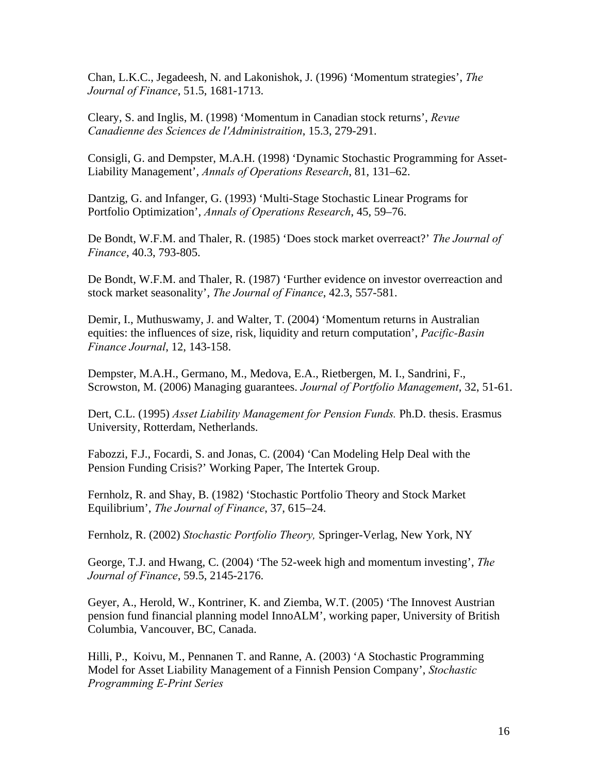Chan, L.K.C., Jegadeesh, N. and Lakonishok, J. (1996) 'Momentum strategies', *The Journal of Finance*, 51.5, 1681-1713.

Cleary, S. and Inglis, M. (1998) 'Momentum in Canadian stock returns', *Revue Canadienne des Sciences de l'Administraition*, 15.3, 279-291.

Consigli, G. and Dempster, M.A.H. (1998) 'Dynamic Stochastic Programming for Asset-Liability Management', *Annals of Operations Research*, 81, 131–62.

Dantzig, G. and Infanger, G. (1993) 'Multi-Stage Stochastic Linear Programs for Portfolio Optimization', *Annals of Operations Research*, 45, 59–76.

De Bondt, W.F.M. and Thaler, R. (1985) 'Does stock market overreact?' *The Journal of Finance*, 40.3, 793-805.

De Bondt, W.F.M. and Thaler, R. (1987) 'Further evidence on investor overreaction and stock market seasonality', *The Journal of Finance*, 42.3, 557-581.

Demir, I., Muthuswamy, J. and Walter, T. (2004) 'Momentum returns in Australian equities: the influences of size, risk, liquidity and return computation', *Pacific-Basin Finance Journal*, 12, 143-158.

Dempster, M.A.H., Germano, M., Medova, E.A., Rietbergen, M. I., Sandrini, F., Scrowston, M. (2006) Managing guarantees. *Journal of Portfolio Management*, 32, 51-61.

Dert, C.L. (1995) *Asset Liability Management for Pension Funds.* Ph.D. thesis. Erasmus University, Rotterdam, Netherlands.

Fabozzi, F.J., Focardi, S. and Jonas, C. (2004) 'Can Modeling Help Deal with the Pension Funding Crisis?' Working Paper, The Intertek Group.

Fernholz, R. and Shay, B. (1982) 'Stochastic Portfolio Theory and Stock Market Equilibrium', *The Journal of Finance*, 37, 615–24.

Fernholz, R. (2002) *Stochastic Portfolio Theory,* Springer-Verlag, New York, NY

George, T.J. and Hwang, C. (2004) 'The 52-week high and momentum investing', *The Journal of Finance*, 59.5, 2145-2176.

Geyer, A., Herold, W., Kontriner, K. and Ziemba, W.T. (2005) 'The Innovest Austrian pension fund financial planning model InnoALM', working paper, University of British Columbia, Vancouver, BC, Canada.

Hilli, P., Koivu, M., Pennanen T. and Ranne, A. (2003) 'A Stochastic Programming Model for Asset Liability Management of a Finnish Pension Company', *Stochastic Programming E-Print Series*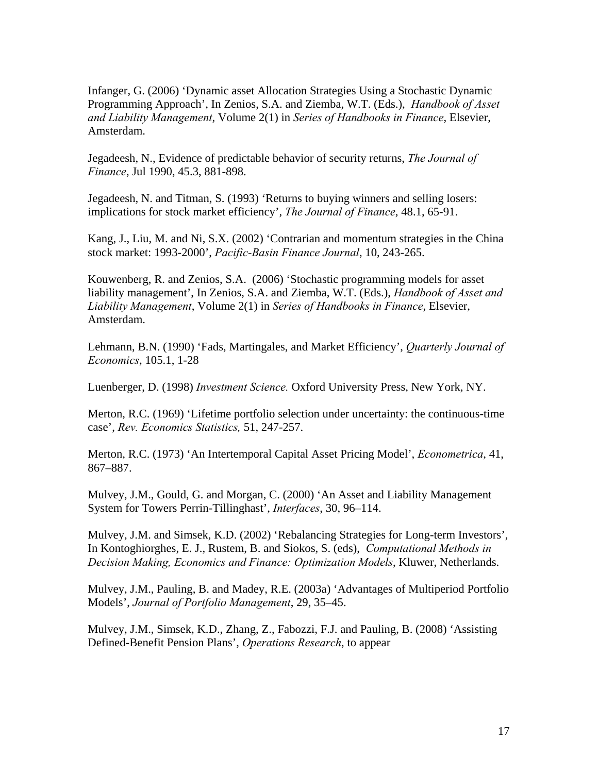Infanger, G. (2006) 'Dynamic asset Allocation Strategies Using a Stochastic Dynamic Programming Approach', In Zenios, S.A. and Ziemba, W.T. (Eds.), *Handbook of Asset and Liability Management*, Volume 2(1) in *Series of Handbooks in Finance*, Elsevier, Amsterdam.

Jegadeesh, N., Evidence of predictable behavior of security returns, *The Journal of Finance*, Jul 1990, 45.3, 881-898.

Jegadeesh, N. and Titman, S. (1993) 'Returns to buying winners and selling losers: implications for stock market efficiency', *The Journal of Finance*, 48.1, 65-91.

Kang, J., Liu, M. and Ni, S.X. (2002) 'Contrarian and momentum strategies in the China stock market: 1993-2000', *Pacific-Basin Finance Journal*, 10, 243-265.

Kouwenberg, R. and Zenios, S.A. (2006) 'Stochastic programming models for asset liability management', In Zenios, S.A. and Ziemba, W.T. (Eds.), *Handbook of Asset and Liability Management*, Volume 2(1) in *Series of Handbooks in Finance*, Elsevier, Amsterdam.

Lehmann, B.N. (1990) 'Fads, Martingales, and Market Efficiency', *Quarterly Journal of Economics*, 105.1, 1-28

Luenberger, D. (1998) *Investment Science.* Oxford University Press, New York, NY.

Merton, R.C. (1969) 'Lifetime portfolio selection under uncertainty: the continuous-time case', *Rev. Economics Statistics,* 51, 247-257.

Merton, R.C. (1973) 'An Intertemporal Capital Asset Pricing Model', *Econometrica*, 41, 867–887.

Mulvey, J.M., Gould, G. and Morgan, C. (2000) 'An Asset and Liability Management System for Towers Perrin-Tillinghast', *Interfaces*, 30, 96–114.

Mulvey, J.M. and Simsek, K.D. (2002) 'Rebalancing Strategies for Long-term Investors', In Kontoghiorghes, E. J., Rustem, B. and Siokos, S. (eds), *Computational Methods in Decision Making, Economics and Finance: Optimization Models*, Kluwer, Netherlands.

Mulvey, J.M., Pauling, B. and Madey, R.E. (2003a) 'Advantages of Multiperiod Portfolio Models', *Journal of Portfolio Management*, 29, 35–45.

Mulvey, J.M., Simsek, K.D., Zhang, Z., Fabozzi, F.J. and Pauling, B. (2008) 'Assisting Defined-Benefit Pension Plans', *Operations Research*, to appear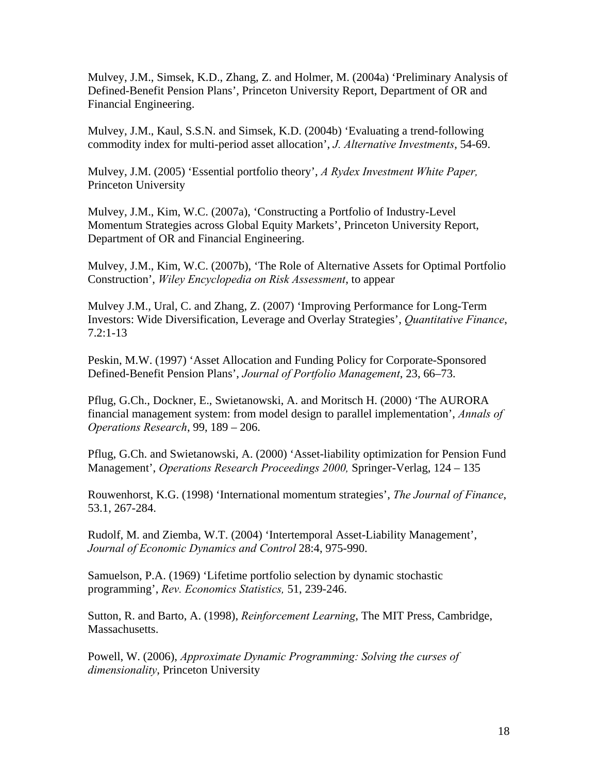Mulvey, J.M., Simsek, K.D., Zhang, Z. and Holmer, M. (2004a) 'Preliminary Analysis of Defined-Benefit Pension Plans', Princeton University Report, Department of OR and Financial Engineering.

Mulvey, J.M., Kaul, S.S.N. and Simsek, K.D. (2004b) 'Evaluating a trend-following commodity index for multi-period asset allocation', *J. Alternative Investments*, 54-69.

Mulvey, J.M. (2005) 'Essential portfolio theory', *A Rydex Investment White Paper,*  Princeton University

Mulvey, J.M., Kim, W.C. (2007a), 'Constructing a Portfolio of Industry-Level Momentum Strategies across Global Equity Markets', Princeton University Report, Department of OR and Financial Engineering.

Mulvey, J.M., Kim, W.C. (2007b), 'The Role of Alternative Assets for Optimal Portfolio Construction', *Wiley Encyclopedia on Risk Assessment*, to appear

Mulvey J.M., Ural, C. and Zhang, Z. (2007) 'Improving Performance for Long-Term Investors: Wide Diversification, Leverage and Overlay Strategies', *Quantitative Finance*, 7.2:1-13

Peskin, M.W. (1997) 'Asset Allocation and Funding Policy for Corporate-Sponsored Defined-Benefit Pension Plans', *Journal of Portfolio Management*, 23, 66–73.

Pflug, G.Ch., Dockner, E., Swietanowski, A. and Moritsch H. (2000) 'The AURORA financial management system: from model design to parallel implementation', *Annals of Operations Research*, 99, 189 – 206.

Pflug, G.Ch. and Swietanowski, A. (2000) 'Asset-liability optimization for Pension Fund Management', *Operations Research Proceedings 2000,* Springer-Verlag, 124 – 135

Rouwenhorst, K.G. (1998) 'International momentum strategies', *The Journal of Finance*, 53.1, 267-284.

Rudolf, M. and Ziemba, W.T. (2004) 'Intertemporal Asset-Liability Management', *Journal of Economic Dynamics and Control* 28:4, 975-990.

Samuelson, P.A. (1969) 'Lifetime portfolio selection by dynamic stochastic programming', *Rev. Economics Statistics,* 51, 239-246.

Sutton, R. and Barto, A. (1998), *Reinforcement Learning*, The MIT Press, Cambridge, Massachusetts.

Powell, W. (2006), *Approximate Dynamic Programming: Solving the curses of dimensionality*, Princeton University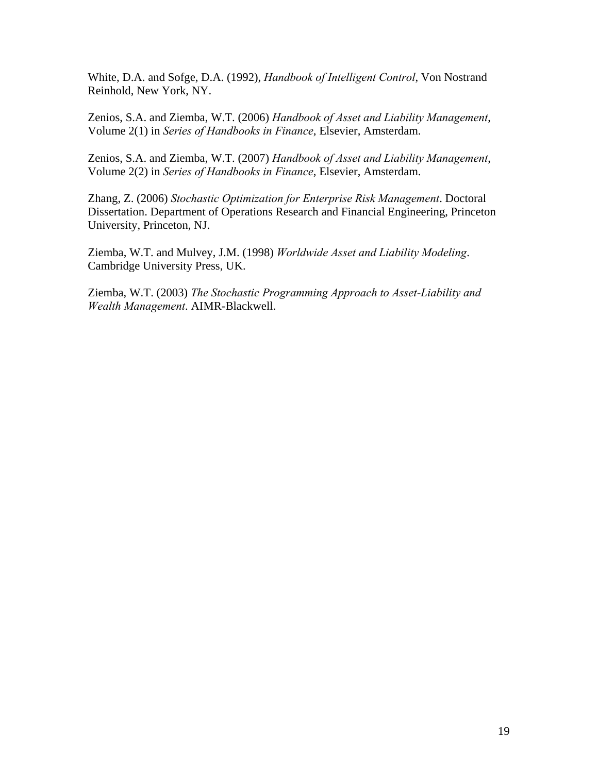White, D.A. and Sofge, D.A. (1992), *Handbook of Intelligent Control*, Von Nostrand Reinhold, New York, NY.

Zenios, S.A. and Ziemba, W.T. (2006) *Handbook of Asset and Liability Management*, Volume 2(1) in *Series of Handbooks in Finance*, Elsevier, Amsterdam.

Zenios, S.A. and Ziemba, W.T. (2007) *Handbook of Asset and Liability Management*, Volume 2(2) in *Series of Handbooks in Finance*, Elsevier, Amsterdam.

Zhang, Z. (2006) *Stochastic Optimization for Enterprise Risk Management*. Doctoral Dissertation. Department of Operations Research and Financial Engineering, Princeton University, Princeton, NJ.

Ziemba, W.T. and Mulvey, J.M. (1998) *Worldwide Asset and Liability Modeling*. Cambridge University Press, UK.

Ziemba, W.T. (2003) *The Stochastic Programming Approach to Asset-Liability and Wealth Management*. AIMR-Blackwell.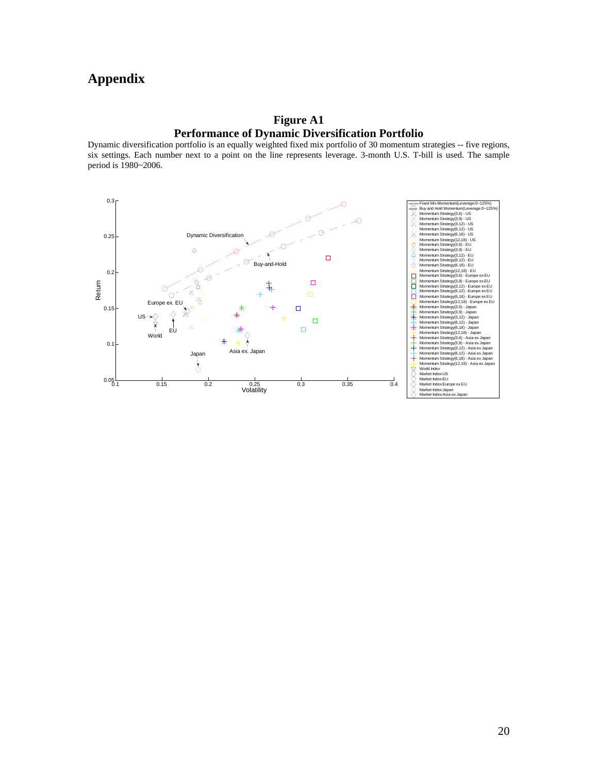# **Appendix**

## **Figure A1 Performance of Dynamic Diversification Portfolio**

Dynamic diversification portfolio is an equally weighted fixed mix portfolio of 30 momentum strategies -- five regions, six settings. Each number next to a point on the line represents leverage. 3-month U.S. T-bill is used. The sample period is 1980~2006.